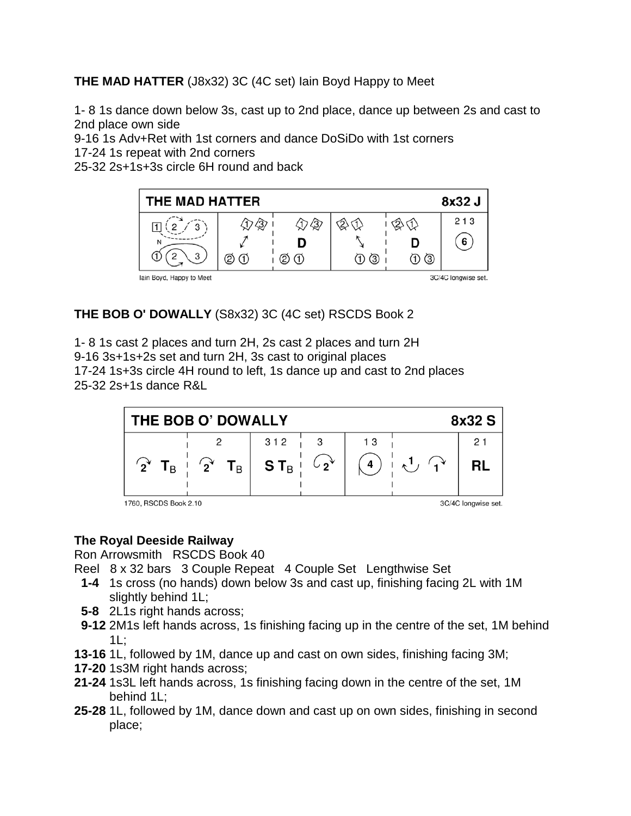**THE MAD HATTER** (J8x32) 3C (4C set) Iain Boyd Happy to Meet

1- 8 1s dance down below 3s, cast up to 2nd place, dance up between 2s and cast to 2nd place own side

9-16 1s Adv+Ret with 1st corners and dance DoSiDo with 1st corners

17-24 1s repeat with 2nd corners

25-32 2s+1s+3s circle 6H round and back



## **THE BOB O' DOWALLY** (S8x32) 3C (4C set) RSCDS Book 2

1- 8 1s cast 2 places and turn 2H, 2s cast 2 places and turn 2H 9-16 3s+1s+2s set and turn 2H, 3s cast to original places 17-24 1s+3s circle 4H round to left, 1s dance up and cast to 2nd places 25-32 2s+1s dance R&L



1760, RSCDS Book 2.10

3C/4C longwise set.

## **The Royal Deeside Railway**

Ron Arrowsmith RSCDS Book 40

- Reel 8 x 32 bars 3 Couple Repeat 4 Couple Set Lengthwise Set
- **1-4** 1s cross (no hands) down below 3s and cast up, finishing facing 2L with 1M slightly behind 1L;
- **5-8** 2L1s right hands across;
- **9-12** 2M1s left hands across, 1s finishing facing up in the centre of the set, 1M behind 1L;
- **13-16** 1L, followed by 1M, dance up and cast on own sides, finishing facing 3M;
- **17-20** 1s3M right hands across;
- **21-24** 1s3L left hands across, 1s finishing facing down in the centre of the set, 1M behind 1L;
- **25-28** 1L, followed by 1M, dance down and cast up on own sides, finishing in second place;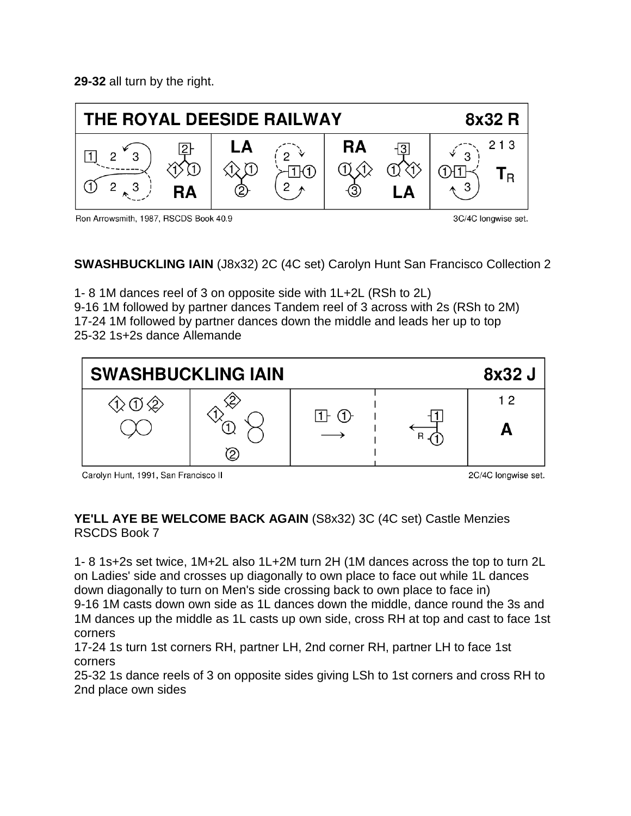**29-32** all turn by the right.



Ron Arrowsmith, 1987, RSCDS Book 40.9

3C/4C longwise set.

**SWASHBUCKLING IAIN** (J8x32) 2C (4C set) Carolyn Hunt San Francisco Collection 2

1- 8 1M dances reel of 3 on opposite side with 1L+2L (RSh to 2L) 9-16 1M followed by partner dances Tandem reel of 3 across with 2s (RSh to 2M) 17-24 1M followed by partner dances down the middle and leads her up to top 25-32 1s+2s dance Allemande



Carolyn Hunt, 1991, San Francisco II

2C/4C longwise set.

## **YE'LL AYE BE WELCOME BACK AGAIN** (S8x32) 3C (4C set) Castle Menzies RSCDS Book 7

1- 8 1s+2s set twice, 1M+2L also 1L+2M turn 2H (1M dances across the top to turn 2L on Ladies' side and crosses up diagonally to own place to face out while 1L dances down diagonally to turn on Men's side crossing back to own place to face in) 9-16 1M casts down own side as 1L dances down the middle, dance round the 3s and 1M dances up the middle as 1L casts up own side, cross RH at top and cast to face 1st corners

17-24 1s turn 1st corners RH, partner LH, 2nd corner RH, partner LH to face 1st corners

25-32 1s dance reels of 3 on opposite sides giving LSh to 1st corners and cross RH to 2nd place own sides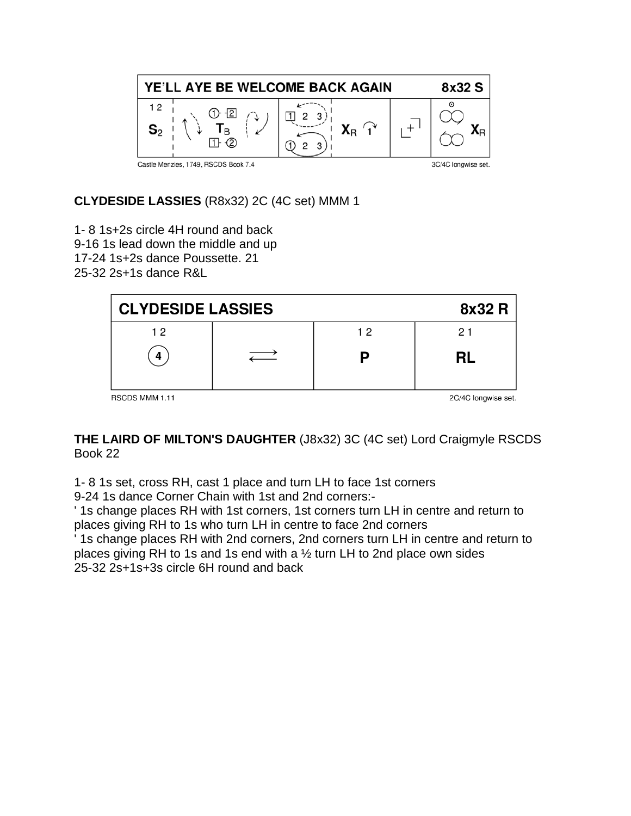

**CLYDESIDE LASSIES** (R8x32) 2C (4C set) MMM 1

1- 8 1s+2s circle 4H round and back 9-16 1s lead down the middle and up 17-24 1s+2s dance Poussette. 21 25-32 2s+1s dance R&L

| <b>CLYDESIDE LASSIES</b> |  |    | 8x32 R              |
|--------------------------|--|----|---------------------|
| 12                       |  | 12 | 21                  |
| Δ                        |  |    | <b>RL</b>           |
| RSCDS MMM 1.11           |  |    | 2C/4C longwise set. |

**THE LAIRD OF MILTON'S DAUGHTER** (J8x32) 3C (4C set) Lord Craigmyle RSCDS Book 22

1- 8 1s set, cross RH, cast 1 place and turn LH to face 1st corners

9-24 1s dance Corner Chain with 1st and 2nd corners:-

' 1s change places RH with 1st corners, 1st corners turn LH in centre and return to places giving RH to 1s who turn LH in centre to face 2nd corners

' 1s change places RH with 2nd corners, 2nd corners turn LH in centre and return to places giving RH to 1s and 1s end with a ½ turn LH to 2nd place own sides 25-32 2s+1s+3s circle 6H round and back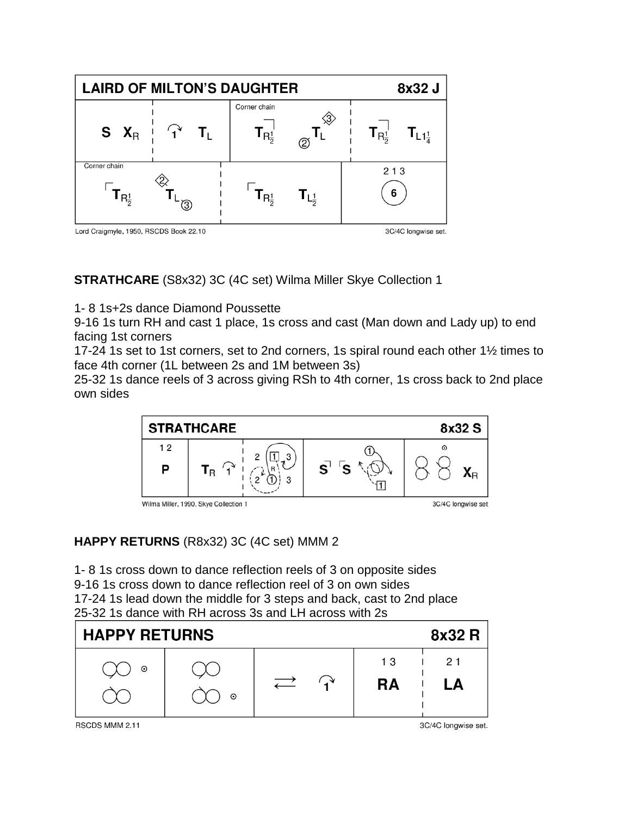

**STRATHCARE** (S8x32) 3C (4C set) Wilma Miller Skye Collection 1

1- 8 1s+2s dance Diamond Poussette

9-16 1s turn RH and cast 1 place, 1s cross and cast (Man down and Lady up) to end facing 1st corners

17-24 1s set to 1st corners, set to 2nd corners, 1s spiral round each other 1½ times to face 4th corner (1L between 2s and 1M between 3s)

25-32 1s dance reels of 3 across giving RSh to 4th corner, 1s cross back to 2nd place own sides



## **HAPPY RETURNS** (R8x32) 3C (4C set) MMM 2

1- 8 1s cross down to dance reflection reels of 3 on opposite sides 9-16 1s cross down to dance reflection reel of 3 on own sides 17-24 1s lead down the middle for 3 steps and back, cast to 2nd place 25-32 1s dance with RH across 3s and LH across with 2s



RSCDS MMM 2.11

3C/4C longwise set.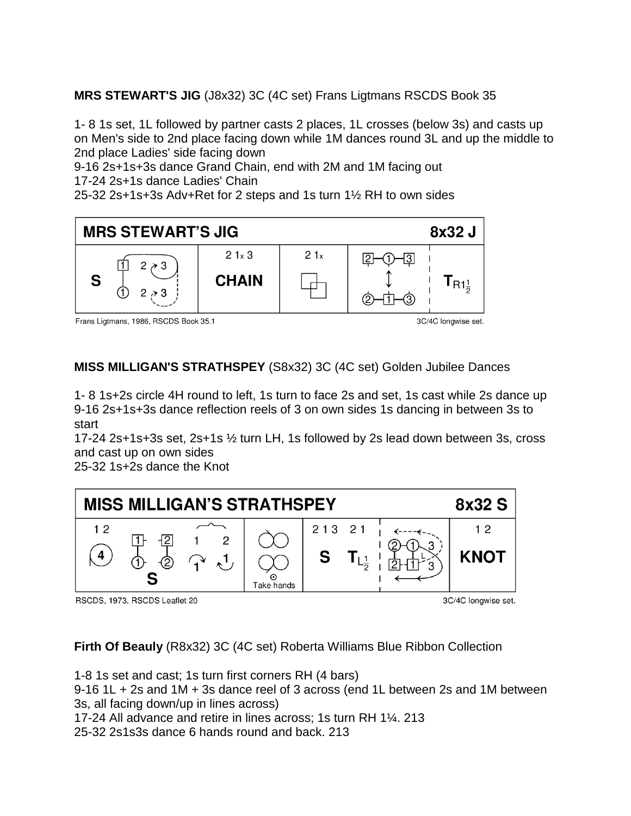**MRS STEWART'S JIG** (J8x32) 3C (4C set) Frans Ligtmans RSCDS Book 35

1- 8 1s set, 1L followed by partner casts 2 places, 1L crosses (below 3s) and casts up on Men's side to 2nd place facing down while 1M dances round 3L and up the middle to 2nd place Ladies' side facing down

9-16 2s+1s+3s dance Grand Chain, end with 2M and 1M facing out 17-24 2s+1s dance Ladies' Chain

25-32 2s+1s+3s Adv+Ret for 2 steps and 1s turn 1½ RH to own sides



Frans Ligtmans, 1986, RSCDS Book 35.1

3C/4C longwise set.

**MISS MILLIGAN'S STRATHSPEY** (S8x32) 3C (4C set) Golden Jubilee Dances

1- 8 1s+2s circle 4H round to left, 1s turn to face 2s and set, 1s cast while 2s dance up 9-16 2s+1s+3s dance reflection reels of 3 on own sides 1s dancing in between 3s to start

17-24 2s+1s+3s set, 2s+1s ½ turn LH, 1s followed by 2s lead down between 3s, cross and cast up on own sides

25-32 1s+2s dance the Knot



RSCDS, 1973, RSCDS Leaflet 20

3C/4C longwise set.

**Firth Of Beauly** (R8x32) 3C (4C set) Roberta Williams Blue Ribbon Collection

1-8 1s set and cast; 1s turn first corners RH (4 bars)

9-16 1L + 2s and 1M + 3s dance reel of 3 across (end 1L between 2s and 1M between 3s, all facing down/up in lines across)

17-24 All advance and retire in lines across; 1s turn RH 1¼. 213

25-32 2s1s3s dance 6 hands round and back. 213